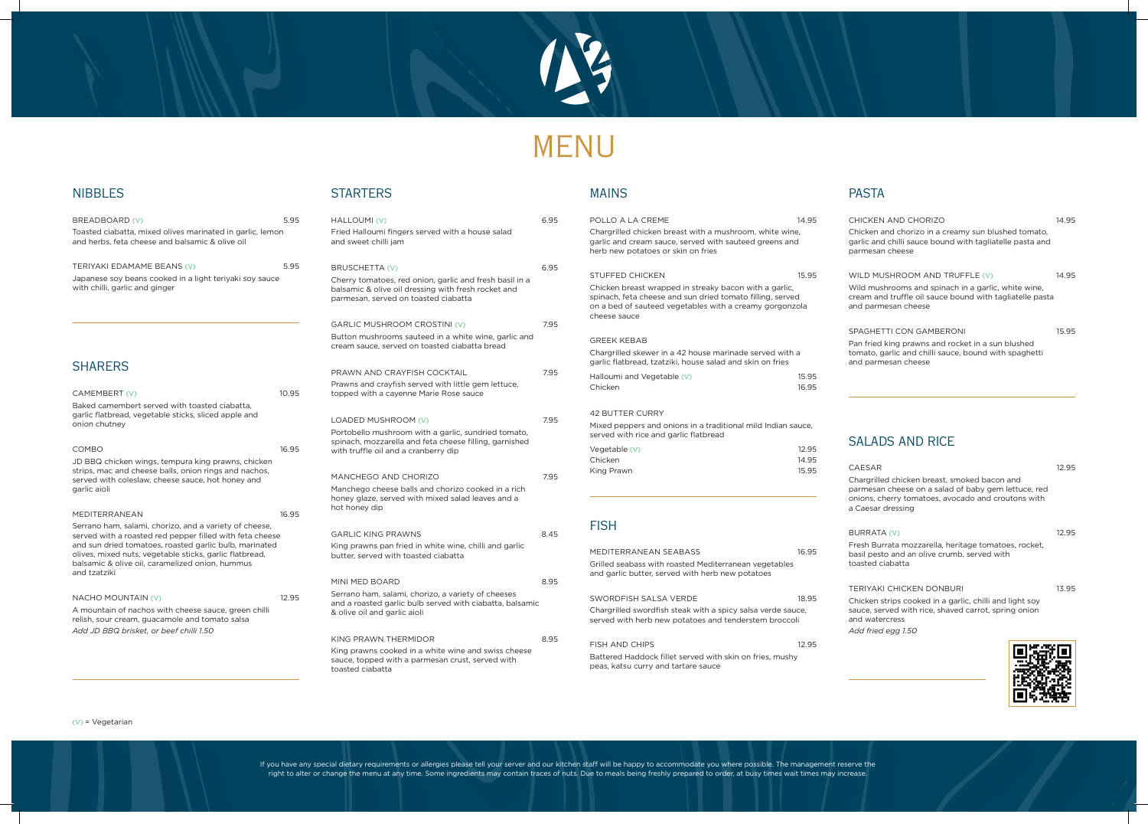



# MENU

### NIBBLES

| BREADBOARD (V)<br>Toasted ciabatta, mixed olives marinated in garlic, lemon<br>and herbs, feta cheese and balsamic & olive oil                                                       | 5.95  | <b>HALLC</b><br>Fried <b>H</b><br>and sw |
|--------------------------------------------------------------------------------------------------------------------------------------------------------------------------------------|-------|------------------------------------------|
| TERIYAKI EDAMAME BEANS (V)<br>Japanese soy beans cooked in a light teriyaki soy sauce<br>with chilli, garlic and ginger                                                              | 5.95  | <b>BRUS</b><br>Cherry<br>balsam<br>parme |
|                                                                                                                                                                                      |       | <b>GARLI</b><br><b>Button</b><br>cream   |
| <b>SHARERS</b>                                                                                                                                                                       |       | <b>PRAW</b>                              |
| CAMEMBERT (V)<br>Baked camembert served with toasted ciabatta,                                                                                                                       | 10.95 | Prawn:<br>toppeo                         |
| garlic flatbread, vegetable sticks, sliced apple and<br>onion chutney                                                                                                                |       | LOADI<br>Portob                          |
| <b>COMBO</b><br>JD BBQ chicken wings, tempura king prawns, chicken<br>strips, mac and cheese balls, onion rings and nachos,                                                          | 16.95 | spinac<br>with tr                        |
| served with coleslaw, cheese sauce, hot honey and<br>garlic aioli                                                                                                                    |       | <b>MANC</b><br>Manch<br>honey<br>hot ho  |
| <b>MEDITERRANEAN</b><br>Serrano ham, salami, chorizo, and a variety of cheese,                                                                                                       | 16.95 |                                          |
| served with a roasted red pepper filled with feta cheese                                                                                                                             |       | <b>GARLI</b>                             |
| and sun dried tomatoes, roasted garlic bulb, marinated<br>olives, mixed nuts, vegetable sticks, garlic flatbread,<br>balsamic & olive oil, caramelized onion, hummus<br>and tzatziki |       | King p<br>butter.                        |
|                                                                                                                                                                                      |       | MINI M                                   |
| <b>NACHO MOUNTAIN (V)</b><br>A mountain of nachos with cheese sauce, green chilli<br>relish, sour cream, guacamole and tomato salsa<br>Add JD BBQ brisket, or beef chilli 1.50       | 12.95 | Serran<br>and a r<br>& olive             |
|                                                                                                                                                                                      |       | <b>KING F</b>                            |
|                                                                                                                                                                                      |       | King p<br>sauce,                         |

### **STARTERS**

| <b>MAINS</b>                                                                                                                                                                                   |       | <b>PASTA</b>                                                                                                                                                                   |       |
|------------------------------------------------------------------------------------------------------------------------------------------------------------------------------------------------|-------|--------------------------------------------------------------------------------------------------------------------------------------------------------------------------------|-------|
| POLLO A LA CREME                                                                                                                                                                               | 14.95 | CHICKEN AND CHORIZO                                                                                                                                                            | 14.95 |
| Chargrilled chicken breast with a mushroom, white wine,<br>garlic and cream sauce, served with sauteed greens and<br>herb new potatoes or skin on fries                                        |       | Chicken and chorizo in a creamy sun blushed tomato,<br>garlic and chilli sauce bound with tagliatelle pasta and<br>parmesan cheese                                             |       |
| <b>STUFFED CHICKEN</b>                                                                                                                                                                         | 15.95 | WILD MUSHROOM AND TRUFFLE (V)                                                                                                                                                  | 14.95 |
| Chicken breast wrapped in streaky bacon with a garlic,<br>spinach, feta cheese and sun dried tomato filling, served<br>on a bed of sauteed vegetables with a creamy gorgonzola<br>cheese sauce |       | Wild mushrooms and spinach in a garlic, white wine,<br>cream and truffle oil sauce bound with tagliatelle pasta<br>and parmesan cheese                                         |       |
|                                                                                                                                                                                                |       | SPAGHETTI CON GAMBERONI                                                                                                                                                        | 15.95 |
| <b>GREEK KEBAB</b>                                                                                                                                                                             |       | Pan fried king prawns and rocket in a sun blushed                                                                                                                              |       |
| Chargrilled skewer in a 42 house marinade served with a<br>garlic flatbread, tzatziki, house salad and skin on fries                                                                           |       | tomato, garlic and chilli sauce, bound with spaghetti<br>and parmesan cheese                                                                                                   |       |
| Halloumi and Vegetable (V)                                                                                                                                                                     | 15.95 |                                                                                                                                                                                |       |
| Chicken                                                                                                                                                                                        | 16.95 |                                                                                                                                                                                |       |
| <b>42 BUTTER CURRY</b>                                                                                                                                                                         |       |                                                                                                                                                                                |       |
| Mixed peppers and onions in a traditional mild Indian sauce,<br>served with rice and garlic flatbread                                                                                          |       |                                                                                                                                                                                |       |
| Vegetable (V)                                                                                                                                                                                  | 12.95 | <b>SALADS AND RICE</b>                                                                                                                                                         |       |
| Chicken                                                                                                                                                                                        | 14.95 |                                                                                                                                                                                |       |
| King Prawn                                                                                                                                                                                     | 15.95 | <b>CAESAR</b>                                                                                                                                                                  | 12.95 |
|                                                                                                                                                                                                |       | Chargrilled chicken breast, smoked bacon and<br>parmesan cheese on a salad of baby gem lettuce, red<br>onions, cherry tomatoes, avocado and croutons with<br>a Caesar dressing |       |
|                                                                                                                                                                                                |       |                                                                                                                                                                                |       |
| <b>FISH</b>                                                                                                                                                                                    |       | BURRATA (V)                                                                                                                                                                    | 12.95 |
|                                                                                                                                                                                                |       | Fresh Burrata mozzarella, heritage tomatoes, rocket,                                                                                                                           |       |
| MEDITERRANEAN SEABASS                                                                                                                                                                          | 16.95 | basil pesto and an olive crumb, served with<br>toasted ciabatta                                                                                                                |       |
| Grilled seabass with roasted Mediterranean vegetables<br>and garlic butter, served with herb new potatoes                                                                                      |       |                                                                                                                                                                                |       |
|                                                                                                                                                                                                |       | TERIYAKI CHICKEN DONBURI                                                                                                                                                       | 13.95 |
| SWORDFISH SALSA VERDE                                                                                                                                                                          | 18.95 | Chicken strips cooked in a garlic, chilli and light soy                                                                                                                        |       |
| Chargrilled swordfish steak with a spicy salsa verde sauce,<br>served with herb new potatoes and tenderstem broccoli                                                                           |       | sauce, served with rice, shaved carrot, spring onion<br>and watercress                                                                                                         |       |
|                                                                                                                                                                                                |       | Add fried egg 1.50                                                                                                                                                             |       |
| <b>FISH AND CHIPS</b>                                                                                                                                                                          | 12.95 |                                                                                                                                                                                |       |
| Battered Haddock fillet served with skin on fries, mushy<br>peas, katsu curry and tartare sauce                                                                                                |       |                                                                                                                                                                                |       |

| HALLOUMI (V)<br>Fried Halloumi fingers served with a house salad<br>and sweet chilli jam                                                                                     | 6.95 |
|------------------------------------------------------------------------------------------------------------------------------------------------------------------------------|------|
| BRUSCHETTA (V)<br>Cherry tomatoes, red onion, garlic and fresh basil in a<br>balsamic & olive oil dressing with fresh rocket and<br>parmesan, served on toasted ciabatta     | 6.95 |
| <b>GARLIC MUSHROOM CROSTINI (V)</b><br>Button mushrooms sauteed in a white wine, garlic and<br>cream sauce, served on toasted ciabatta bread                                 | 7.95 |
| PRAWN AND CRAYFISH COCKTAIL<br>Prawns and crayfish served with little gem lettuce,<br>topped with a cayenne Marie Rose sauce                                                 | 7.95 |
| LOADED MUSHROOM (V)<br>Portobello mushroom with a garlic, sundried tomato,<br>spinach, mozzarella and feta cheese filling, garnished<br>with truffle oil and a cranberry dip | 7.95 |
| MANCHEGO AND CHORIZO<br>Manchego cheese balls and chorizo cooked in a rich<br>honey glaze, served with mixed salad leaves and a<br>hot honey dip                             | 7.95 |
| <b>GARLIC KING PRAWNS</b><br>King prawns pan fried in white wine, chilli and garlic<br>butter, served with toasted ciabatta                                                  | 8.45 |
| MINI MED BOARD<br>Serrano ham, salami, chorizo, a variety of cheeses<br>and a roasted garlic bulb served with ciabatta, balsamic<br>& olive oil and garlic aioli             | 8.95 |
| KING PRAWN THERMIDOR<br>King prawns cooked in a white wine and swiss cheese<br>sauce, topped with a parmesan crust, served with<br>toasted ciabatta                          | 8.95 |